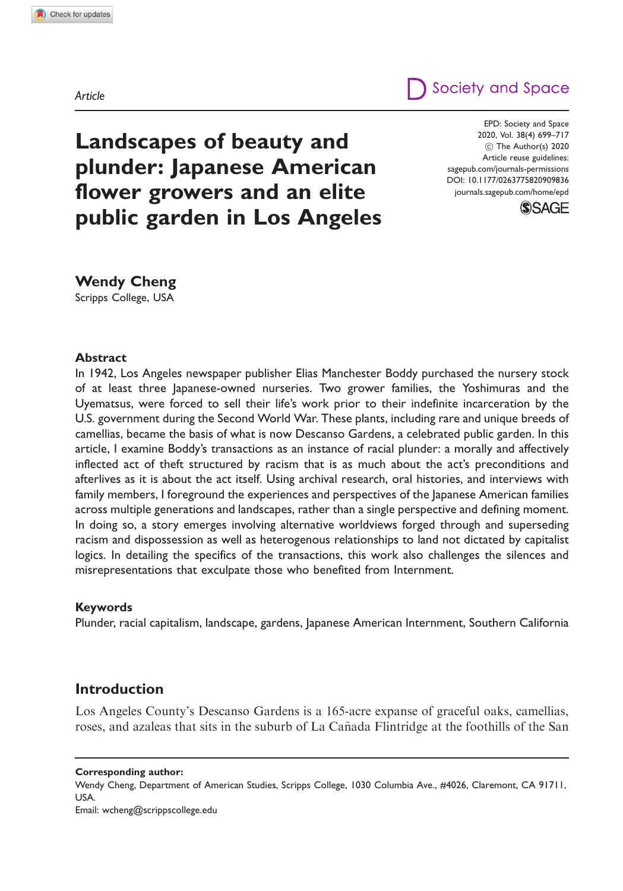Article

# Society and Space

Landscapes of beauty and plunder: Japanese American flower growers and an elite public garden in Los Angeles

EPD: Society and Space 2020, Vol. 38(4) 699–717 (C) The Author(s) 2020 Article reuse guidelines: [sagepub.com/journals-permissions](http://uk.sagepub.com/en-gb/journals-permissions) [DOI: 10.1177/0263775820909836](http://dx.doi.org/10.1177/0263775820909836) <journals.sagepub.com/home/epd>



Wendy Cheng Scripps College, USA

#### Abstract

In 1942, Los Angeles newspaper publisher Elias Manchester Boddy purchased the nursery stock of at least three Japanese-owned nurseries. Two grower families, the Yoshimuras and the Uyematsus, were forced to sell their life's work prior to their indefinite incarceration by the U.S. government during the Second World War. These plants, including rare and unique breeds of camellias, became the basis of what is now Descanso Gardens, a celebrated public garden. In this article, I examine Boddy's transactions as an instance of racial plunder: a morally and affectively inflected act of theft structured by racism that is as much about the act's preconditions and afterlives as it is about the act itself. Using archival research, oral histories, and interviews with family members, I foreground the experiences and perspectives of the Japanese American families across multiple generations and landscapes, rather than a single perspective and defining moment. In doing so, a story emerges involving alternative worldviews forged through and superseding racism and dispossession as well as heterogenous relationships to land not dictated by capitalist logics. In detailing the specifics of the transactions, this work also challenges the silences and misrepresentations that exculpate those who benefited from Internment.

#### Keywords

Plunder, racial capitalism, landscape, gardens, Japanese American Internment, Southern California

### Introduction

Los Angeles County's Descanso Gardens is a 165-acre expanse of graceful oaks, camellias, roses, and azaleas that sits in the suburb of La Cañada Flintridge at the foothills of the San

Corresponding author:

Wendy Cheng, Department of American Studies, Scripps College, 1030 Columbia Ave., #4026, Claremont, CA 91711, USA. Email: [wcheng@scrippscollege.edu](mailto:wcheng@scrippscollege.edu)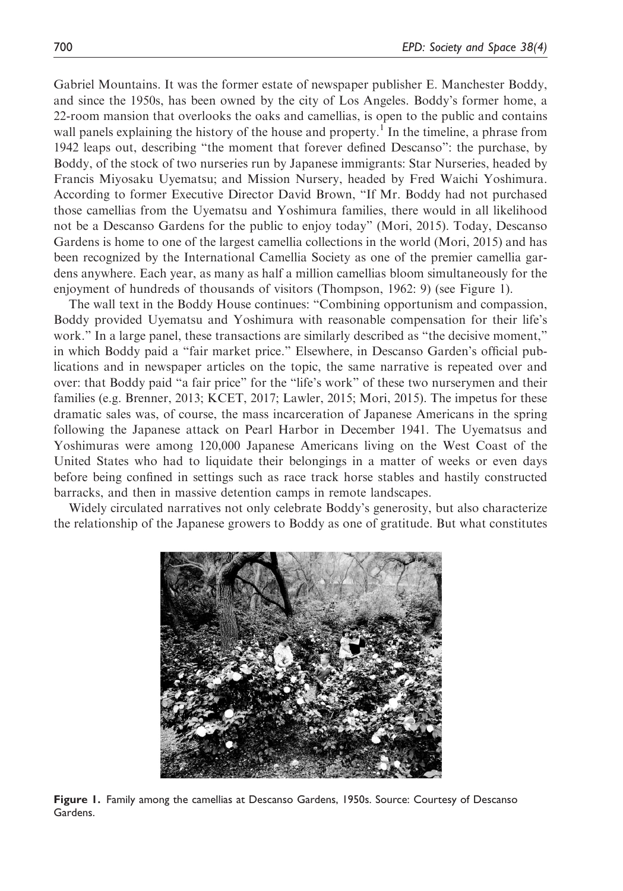Gabriel Mountains. It was the former estate of newspaper publisher E. Manchester Boddy, and since the 1950s, has been owned by the city of Los Angeles. Boddy's former home, a 22-room mansion that overlooks the oaks and camellias, is open to the public and contains wall panels explaining the history of the house and property.<sup>1</sup> In the timeline, a phrase from 1942 leaps out, describing "the moment that forever defined Descanso": the purchase, by Boddy, of the stock of two nurseries run by Japanese immigrants: Star Nurseries, headed by Francis Miyosaku Uyematsu; and Mission Nursery, headed by Fred Waichi Yoshimura. According to former Executive Director David Brown, "If Mr. Boddy had not purchased those camellias from the Uyematsu and Yoshimura families, there would in all likelihood not be a Descanso Gardens for the public to enjoy today" (Mori, 2015). Today, Descanso Gardens is home to one of the largest camellia collections in the world (Mori, 2015) and has been recognized by the International Camellia Society as one of the premier camellia gardens anywhere. Each year, as many as half a million camellias bloom simultaneously for the enjoyment of hundreds of thousands of visitors (Thompson, 1962: 9) (see Figure 1).

The wall text in the Boddy House continues: "Combining opportunism and compassion, Boddy provided Uyematsu and Yoshimura with reasonable compensation for their life's work." In a large panel, these transactions are similarly described as "the decisive moment," in which Boddy paid a "fair market price." Elsewhere, in Descanso Garden's official publications and in newspaper articles on the topic, the same narrative is repeated over and over: that Boddy paid "a fair price" for the "life's work" of these two nurserymen and their families (e.g. Brenner, 2013; KCET, 2017; Lawler, 2015; Mori, 2015). The impetus for these dramatic sales was, of course, the mass incarceration of Japanese Americans in the spring following the Japanese attack on Pearl Harbor in December 1941. The Uyematsus and Yoshimuras were among 120,000 Japanese Americans living on the West Coast of the United States who had to liquidate their belongings in a matter of weeks or even days before being confined in settings such as race track horse stables and hastily constructed barracks, and then in massive detention camps in remote landscapes.

Widely circulated narratives not only celebrate Boddy's generosity, but also characterize the relationship of the Japanese growers to Boddy as one of gratitude. But what constitutes



Figure 1. Family among the camellias at Descanso Gardens, 1950s. Source: Courtesy of Descanso Gardens.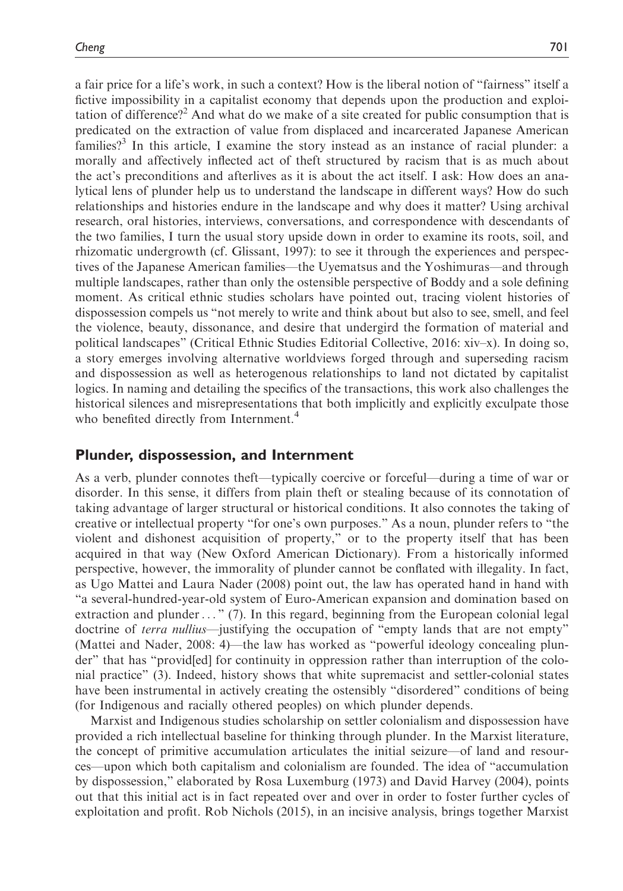a fair price for a life's work, in such a context? How is the liberal notion of "fairness" itself a fictive impossibility in a capitalist economy that depends upon the production and exploitation of difference?<sup>2</sup> And what do we make of a site created for public consumption that is predicated on the extraction of value from displaced and incarcerated Japanese American families?<sup>3</sup> In this article, I examine the story instead as an instance of racial plunder: a morally and affectively inflected act of theft structured by racism that is as much about the act's preconditions and afterlives as it is about the act itself. I ask: How does an analytical lens of plunder help us to understand the landscape in different ways? How do such relationships and histories endure in the landscape and why does it matter? Using archival research, oral histories, interviews, conversations, and correspondence with descendants of the two families, I turn the usual story upside down in order to examine its roots, soil, and rhizomatic undergrowth (cf. Glissant, 1997): to see it through the experiences and perspectives of the Japanese American families—the Uyematsus and the Yoshimuras—and through multiple landscapes, rather than only the ostensible perspective of Boddy and a sole defining moment. As critical ethnic studies scholars have pointed out, tracing violent histories of dispossession compels us "not merely to write and think about but also to see, smell, and feel the violence, beauty, dissonance, and desire that undergird the formation of material and political landscapes" (Critical Ethnic Studies Editorial Collective, 2016: xiv–x). In doing so, a story emerges involving alternative worldviews forged through and superseding racism and dispossession as well as heterogenous relationships to land not dictated by capitalist logics. In naming and detailing the specifics of the transactions, this work also challenges the historical silences and misrepresentations that both implicitly and explicitly exculpate those who benefited directly from Internment.<sup>4</sup>

#### Plunder, dispossession, and Internment

As a verb, plunder connotes theft—typically coercive or forceful—during a time of war or disorder. In this sense, it differs from plain theft or stealing because of its connotation of taking advantage of larger structural or historical conditions. It also connotes the taking of creative or intellectual property "for one's own purposes." As a noun, plunder refers to "the violent and dishonest acquisition of property," or to the property itself that has been acquired in that way (New Oxford American Dictionary). From a historically informed perspective, however, the immorality of plunder cannot be conflated with illegality. In fact, as Ugo Mattei and Laura Nader (2008) point out, the law has operated hand in hand with "a several-hundred-year-old system of Euro-American expansion and domination based on extraction and plunder... " (7). In this regard, beginning from the European colonial legal doctrine of *terra nullius*—justifying the occupation of "empty lands that are not empty" (Mattei and Nader, 2008: 4)—the law has worked as "powerful ideology concealing plunder" that has "provid[ed] for continuity in oppression rather than interruption of the colonial practice" (3). Indeed, history shows that white supremacist and settler-colonial states have been instrumental in actively creating the ostensibly "disordered" conditions of being (for Indigenous and racially othered peoples) on which plunder depends.

Marxist and Indigenous studies scholarship on settler colonialism and dispossession have provided a rich intellectual baseline for thinking through plunder. In the Marxist literature, the concept of primitive accumulation articulates the initial seizure—of land and resources—upon which both capitalism and colonialism are founded. The idea of "accumulation by dispossession," elaborated by Rosa Luxemburg (1973) and David Harvey (2004), points out that this initial act is in fact repeated over and over in order to foster further cycles of exploitation and profit. Rob Nichols (2015), in an incisive analysis, brings together Marxist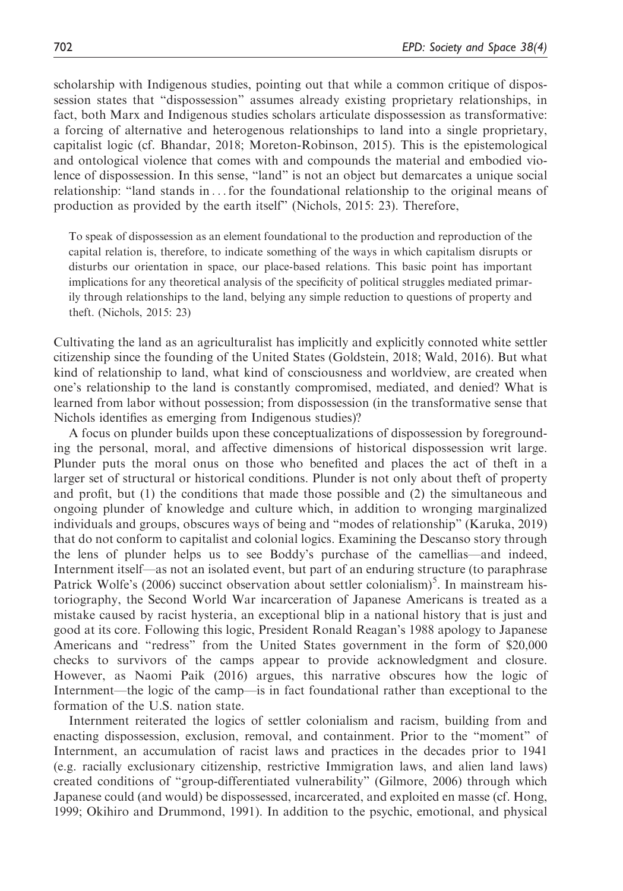scholarship with Indigenous studies, pointing out that while a common critique of dispossession states that "dispossession" assumes already existing proprietary relationships, in fact, both Marx and Indigenous studies scholars articulate dispossession as transformative: a forcing of alternative and heterogenous relationships to land into a single proprietary, capitalist logic (cf. Bhandar, 2018; Moreton-Robinson, 2015). This is the epistemological and ontological violence that comes with and compounds the material and embodied violence of dispossession. In this sense, "land" is not an object but demarcates a unique social relationship: "land stands in ... for the foundational relationship to the original means of production as provided by the earth itself" (Nichols, 2015: 23). Therefore,

To speak of dispossession as an element foundational to the production and reproduction of the capital relation is, therefore, to indicate something of the ways in which capitalism disrupts or disturbs our orientation in space, our place-based relations. This basic point has important implications for any theoretical analysis of the specificity of political struggles mediated primarily through relationships to the land, belying any simple reduction to questions of property and theft. (Nichols, 2015: 23)

Cultivating the land as an agriculturalist has implicitly and explicitly connoted white settler citizenship since the founding of the United States (Goldstein, 2018; Wald, 2016). But what kind of relationship to land, what kind of consciousness and worldview, are created when one's relationship to the land is constantly compromised, mediated, and denied? What is learned from labor without possession; from dispossession (in the transformative sense that Nichols identifies as emerging from Indigenous studies)?

A focus on plunder builds upon these conceptualizations of dispossession by foregrounding the personal, moral, and affective dimensions of historical dispossession writ large. Plunder puts the moral onus on those who benefited and places the act of theft in a larger set of structural or historical conditions. Plunder is not only about theft of property and profit, but (1) the conditions that made those possible and (2) the simultaneous and ongoing plunder of knowledge and culture which, in addition to wronging marginalized individuals and groups, obscures ways of being and "modes of relationship" (Karuka, 2019) that do not conform to capitalist and colonial logics. Examining the Descanso story through the lens of plunder helps us to see Boddy's purchase of the camellias—and indeed, Internment itself—as not an isolated event, but part of an enduring structure (to paraphrase Patrick Wolfe's (2006) succinct observation about settler colonialism)<sup>5</sup>. In mainstream historiography, the Second World War incarceration of Japanese Americans is treated as a mistake caused by racist hysteria, an exceptional blip in a national history that is just and good at its core. Following this logic, President Ronald Reagan's 1988 apology to Japanese Americans and "redress" from the United States government in the form of \$20,000 checks to survivors of the camps appear to provide acknowledgment and closure. However, as Naomi Paik (2016) argues, this narrative obscures how the logic of Internment—the logic of the camp—is in fact foundational rather than exceptional to the formation of the U.S. nation state.

Internment reiterated the logics of settler colonialism and racism, building from and enacting dispossession, exclusion, removal, and containment. Prior to the "moment" of Internment, an accumulation of racist laws and practices in the decades prior to 1941 (e.g. racially exclusionary citizenship, restrictive Immigration laws, and alien land laws) created conditions of "group-differentiated vulnerability" (Gilmore, 2006) through which Japanese could (and would) be dispossessed, incarcerated, and exploited en masse (cf. Hong, 1999; Okihiro and Drummond, 1991). In addition to the psychic, emotional, and physical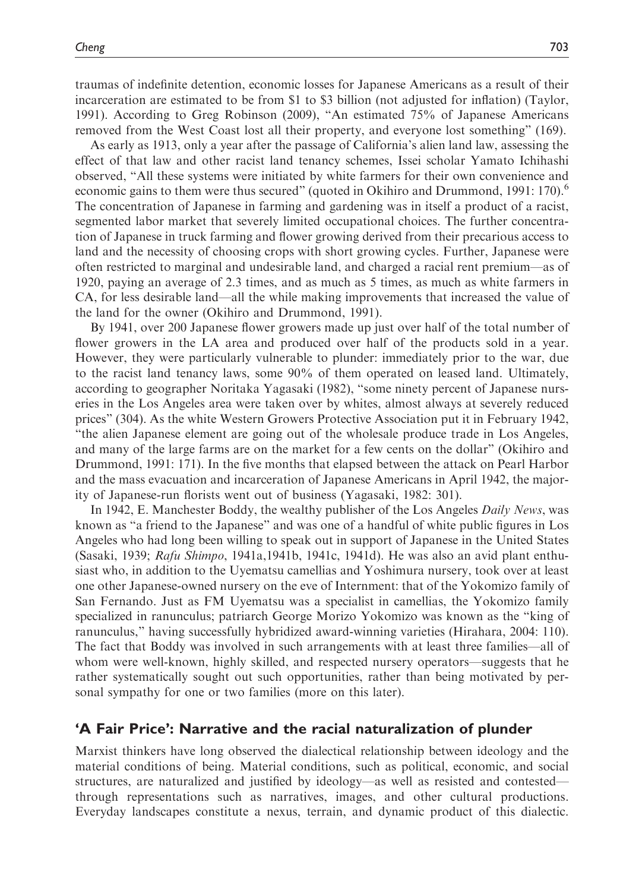traumas of indefinite detention, economic losses for Japanese Americans as a result of their incarceration are estimated to be from \$1 to \$3 billion (not adjusted for inflation) (Taylor, 1991). According to Greg Robinson (2009), "An estimated 75% of Japanese Americans removed from the West Coast lost all their property, and everyone lost something" (169).

As early as 1913, only a year after the passage of California's alien land law, assessing the effect of that law and other racist land tenancy schemes, Issei scholar Yamato Ichihashi observed, "All these systems were initiated by white farmers for their own convenience and economic gains to them were thus secured" (quoted in Okihiro and Drummond, 1991: 170).<sup>6</sup> The concentration of Japanese in farming and gardening was in itself a product of a racist, segmented labor market that severely limited occupational choices. The further concentration of Japanese in truck farming and flower growing derived from their precarious access to land and the necessity of choosing crops with short growing cycles. Further, Japanese were often restricted to marginal and undesirable land, and charged a racial rent premium—as of 1920, paying an average of 2.3 times, and as much as 5 times, as much as white farmers in CA, for less desirable land—all the while making improvements that increased the value of the land for the owner (Okihiro and Drummond, 1991).

By 1941, over 200 Japanese flower growers made up just over half of the total number of flower growers in the LA area and produced over half of the products sold in a year. However, they were particularly vulnerable to plunder: immediately prior to the war, due to the racist land tenancy laws, some 90% of them operated on leased land. Ultimately, according to geographer Noritaka Yagasaki (1982), "some ninety percent of Japanese nurseries in the Los Angeles area were taken over by whites, almost always at severely reduced prices" (304). As the white Western Growers Protective Association put it in February 1942, "the alien Japanese element are going out of the wholesale produce trade in Los Angeles, and many of the large farms are on the market for a few cents on the dollar" (Okihiro and Drummond, 1991: 171). In the five months that elapsed between the attack on Pearl Harbor and the mass evacuation and incarceration of Japanese Americans in April 1942, the majority of Japanese-run florists went out of business (Yagasaki, 1982: 301).

In 1942, E. Manchester Boddy, the wealthy publisher of the Los Angeles Daily News, was known as "a friend to the Japanese" and was one of a handful of white public figures in Los Angeles who had long been willing to speak out in support of Japanese in the United States (Sasaki, 1939; Rafu Shimpo, 1941a,1941b, 1941c, 1941d). He was also an avid plant enthusiast who, in addition to the Uyematsu camellias and Yoshimura nursery, took over at least one other Japanese-owned nursery on the eve of Internment: that of the Yokomizo family of San Fernando. Just as FM Uyematsu was a specialist in camellias, the Yokomizo family specialized in ranunculus; patriarch George Morizo Yokomizo was known as the "king of ranunculus," having successfully hybridized award-winning varieties (Hirahara, 2004: 110). The fact that Boddy was involved in such arrangements with at least three families—all of whom were well-known, highly skilled, and respected nursery operators—suggests that he rather systematically sought out such opportunities, rather than being motivated by personal sympathy for one or two families (more on this later).

#### 'A Fair Price': Narrative and the racial naturalization of plunder

Marxist thinkers have long observed the dialectical relationship between ideology and the material conditions of being. Material conditions, such as political, economic, and social structures, are naturalized and justified by ideology—as well as resisted and contested through representations such as narratives, images, and other cultural productions. Everyday landscapes constitute a nexus, terrain, and dynamic product of this dialectic.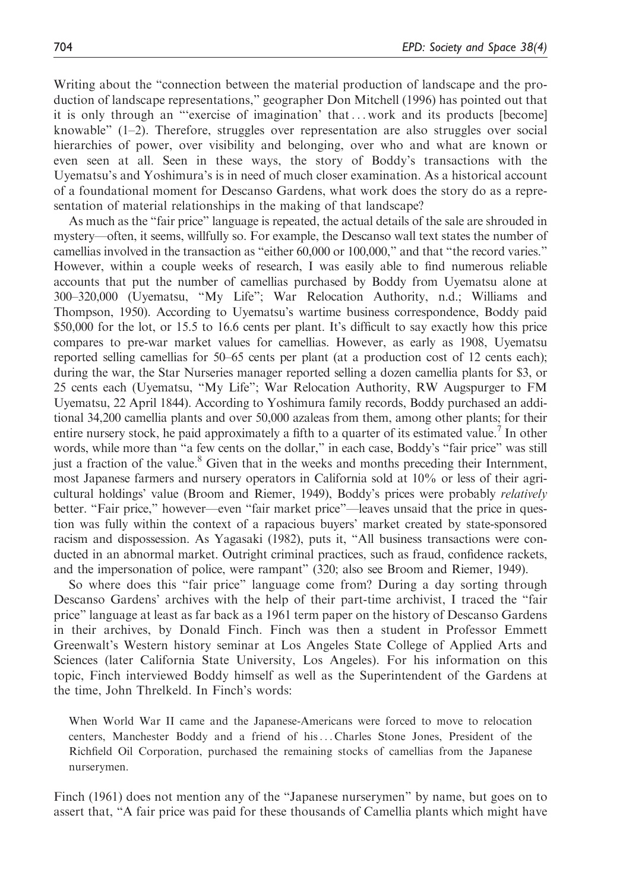Writing about the "connection between the material production of landscape and the production of landscape representations," geographer Don Mitchell (1996) has pointed out that it is only through an "'exercise of imagination' that ... work and its products [become] knowable"  $(1-2)$ . Therefore, struggles over representation are also struggles over social hierarchies of power, over visibility and belonging, over who and what are known or even seen at all. Seen in these ways, the story of Boddy's transactions with the Uyematsu's and Yoshimura's is in need of much closer examination. As a historical account of a foundational moment for Descanso Gardens, what work does the story do as a representation of material relationships in the making of that landscape?

As much as the "fair price" language is repeated, the actual details of the sale are shrouded in mystery—often, it seems, willfully so. For example, the Descanso wall text states the number of camellias involved in the transaction as "either 60,000 or 100,000," and that "the record varies." However, within a couple weeks of research, I was easily able to find numerous reliable accounts that put the number of camellias purchased by Boddy from Uyematsu alone at 300–320,000 (Uyematsu, "My Life"; War Relocation Authority, n.d.; Williams and Thompson, 1950). According to Uyematsu's wartime business correspondence, Boddy paid \$50,000 for the lot, or 15.5 to 16.6 cents per plant. It's difficult to say exactly how this price compares to pre-war market values for camellias. However, as early as 1908, Uyematsu reported selling camellias for 50–65 cents per plant (at a production cost of 12 cents each); during the war, the Star Nurseries manager reported selling a dozen camellia plants for \$3, or 25 cents each (Uyematsu, "My Life"; War Relocation Authority, RW Augspurger to FM Uyematsu, 22 April 1844). According to Yoshimura family records, Boddy purchased an additional 34,200 camellia plants and over 50,000 azaleas from them, among other plants; for their entire nursery stock, he paid approximately a fifth to a quarter of its estimated value.<sup>7</sup> In other words, while more than "a few cents on the dollar," in each case, Boddy's "fair price" was still just a fraction of the value.<sup>8</sup> Given that in the weeks and months preceding their Internment, most Japanese farmers and nursery operators in California sold at 10% or less of their agricultural holdings' value (Broom and Riemer, 1949), Boddy's prices were probably relatively better. "Fair price," however—even "fair market price"—leaves unsaid that the price in question was fully within the context of a rapacious buyers' market created by state-sponsored racism and dispossession. As Yagasaki (1982), puts it, "All business transactions were conducted in an abnormal market. Outright criminal practices, such as fraud, confidence rackets, and the impersonation of police, were rampant" (320; also see Broom and Riemer, 1949).

So where does this "fair price" language come from? During a day sorting through Descanso Gardens' archives with the help of their part-time archivist, I traced the "fair price" language at least as far back as a 1961 term paper on the history of Descanso Gardens in their archives, by Donald Finch. Finch was then a student in Professor Emmett Greenwalt's Western history seminar at Los Angeles State College of Applied Arts and Sciences (later California State University, Los Angeles). For his information on this topic, Finch interviewed Boddy himself as well as the Superintendent of the Gardens at the time, John Threlkeld. In Finch's words:

When World War II came and the Japanese-Americans were forced to move to relocation centers, Manchester Boddy and a friend of his... Charles Stone Jones, President of the Richfield Oil Corporation, purchased the remaining stocks of camellias from the Japanese nurserymen.

Finch (1961) does not mention any of the "Japanese nurserymen" by name, but goes on to assert that, "A fair price was paid for these thousands of Camellia plants which might have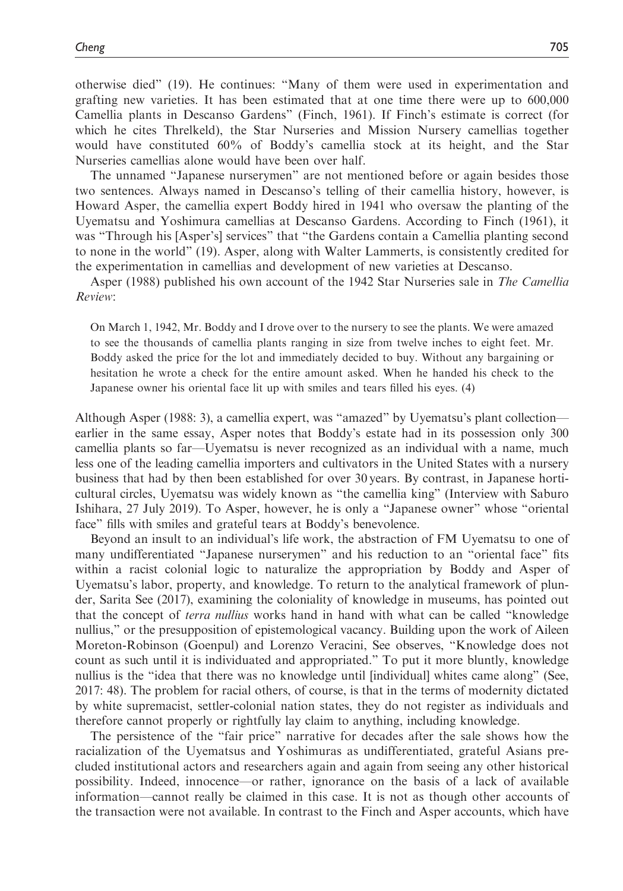otherwise died" (19). He continues: "Many of them were used in experimentation and grafting new varieties. It has been estimated that at one time there were up to 600,000 Camellia plants in Descanso Gardens" (Finch, 1961). If Finch's estimate is correct (for which he cites Threlkeld), the Star Nurseries and Mission Nursery camellias together would have constituted 60% of Boddy's camellia stock at its height, and the Star Nurseries camellias alone would have been over half.

The unnamed "Japanese nurserymen" are not mentioned before or again besides those two sentences. Always named in Descanso's telling of their camellia history, however, is Howard Asper, the camellia expert Boddy hired in 1941 who oversaw the planting of the Uyematsu and Yoshimura camellias at Descanso Gardens. According to Finch (1961), it was "Through his [Asper's] services" that "the Gardens contain a Camellia planting second to none in the world" (19). Asper, along with Walter Lammerts, is consistently credited for the experimentation in camellias and development of new varieties at Descanso.

Asper (1988) published his own account of the 1942 Star Nurseries sale in *The Camellia* Review:

On March 1, 1942, Mr. Boddy and I drove over to the nursery to see the plants. We were amazed to see the thousands of camellia plants ranging in size from twelve inches to eight feet. Mr. Boddy asked the price for the lot and immediately decided to buy. Without any bargaining or hesitation he wrote a check for the entire amount asked. When he handed his check to the Japanese owner his oriental face lit up with smiles and tears filled his eyes. (4)

Although Asper (1988: 3), a camellia expert, was "amazed" by Uyematsu's plant collection earlier in the same essay, Asper notes that Boddy's estate had in its possession only 300 camellia plants so far—Uyematsu is never recognized as an individual with a name, much less one of the leading camellia importers and cultivators in the United States with a nursery business that had by then been established for over 30 years. By contrast, in Japanese horticultural circles, Uyematsu was widely known as "the camellia king" (Interview with Saburo Ishihara, 27 July 2019). To Asper, however, he is only a "Japanese owner" whose "oriental face" fills with smiles and grateful tears at Boddy's benevolence.

Beyond an insult to an individual's life work, the abstraction of FM Uyematsu to one of many undifferentiated "Japanese nurserymen" and his reduction to an "oriental face" fits within a racist colonial logic to naturalize the appropriation by Boddy and Asper of Uyematsu's labor, property, and knowledge. To return to the analytical framework of plunder, Sarita See (2017), examining the coloniality of knowledge in museums, has pointed out that the concept of terra nullius works hand in hand with what can be called "knowledge nullius," or the presupposition of epistemological vacancy. Building upon the work of Aileen Moreton-Robinson (Goenpul) and Lorenzo Veracini, See observes, "Knowledge does not count as such until it is individuated and appropriated." To put it more bluntly, knowledge nullius is the "idea that there was no knowledge until [individual] whites came along" (See, 2017: 48). The problem for racial others, of course, is that in the terms of modernity dictated by white supremacist, settler-colonial nation states, they do not register as individuals and therefore cannot properly or rightfully lay claim to anything, including knowledge.

The persistence of the "fair price" narrative for decades after the sale shows how the racialization of the Uyematsus and Yoshimuras as undifferentiated, grateful Asians precluded institutional actors and researchers again and again from seeing any other historical possibility. Indeed, innocence—or rather, ignorance on the basis of a lack of available information—cannot really be claimed in this case. It is not as though other accounts of the transaction were not available. In contrast to the Finch and Asper accounts, which have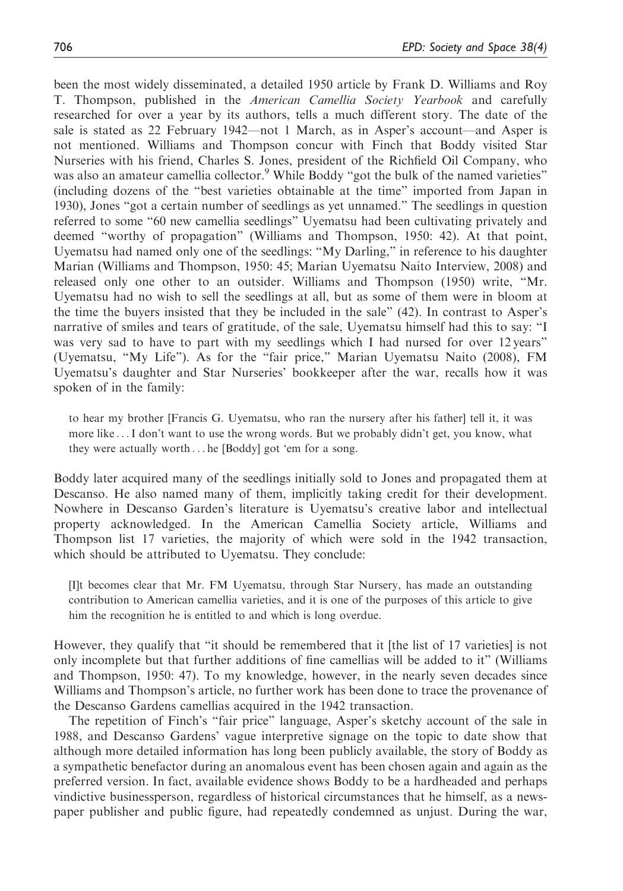been the most widely disseminated, a detailed 1950 article by Frank D. Williams and Roy T. Thompson, published in the American Camellia Society Yearbook and carefully researched for over a year by its authors, tells a much different story. The date of the sale is stated as 22 February 1942—not 1 March, as in Asper's account—and Asper is not mentioned. Williams and Thompson concur with Finch that Boddy visited Star Nurseries with his friend, Charles S. Jones, president of the Richfield Oil Company, who was also an amateur camellia collector.<sup>9</sup> While Boddy "got the bulk of the named varieties" (including dozens of the "best varieties obtainable at the time" imported from Japan in 1930), Jones "got a certain number of seedlings as yet unnamed." The seedlings in question referred to some "60 new camellia seedlings" Uyematsu had been cultivating privately and deemed "worthy of propagation" (Williams and Thompson, 1950: 42). At that point, Uyematsu had named only one of the seedlings: "My Darling," in reference to his daughter Marian (Williams and Thompson, 1950: 45; Marian Uyematsu Naito Interview, 2008) and released only one other to an outsider. Williams and Thompson (1950) write, "Mr. Uyematsu had no wish to sell the seedlings at all, but as some of them were in bloom at the time the buyers insisted that they be included in the sale" (42). In contrast to Asper's narrative of smiles and tears of gratitude, of the sale, Uyematsu himself had this to say: "I was very sad to have to part with my seedlings which I had nursed for over 12 years" (Uyematsu, "My Life"). As for the "fair price," Marian Uyematsu Naito (2008), FM Uyematsu's daughter and Star Nurseries' bookkeeper after the war, recalls how it was spoken of in the family:

to hear my brother [Francis G. Uyematsu, who ran the nursery after his father] tell it, it was more like ...I don't want to use the wrong words. But we probably didn't get, you know, what they were actually worth ... he [Boddy] got 'em for a song.

Boddy later acquired many of the seedlings initially sold to Jones and propagated them at Descanso. He also named many of them, implicitly taking credit for their development. Nowhere in Descanso Garden's literature is Uyematsu's creative labor and intellectual property acknowledged. In the American Camellia Society article, Williams and Thompson list 17 varieties, the majority of which were sold in the 1942 transaction, which should be attributed to Uyematsu. They conclude:

[I]t becomes clear that Mr. FM Uyematsu, through Star Nursery, has made an outstanding contribution to American camellia varieties, and it is one of the purposes of this article to give him the recognition he is entitled to and which is long overdue.

However, they qualify that "it should be remembered that it [the list of 17 varieties] is not only incomplete but that further additions of fine camellias will be added to it" (Williams and Thompson, 1950: 47). To my knowledge, however, in the nearly seven decades since Williams and Thompson's article, no further work has been done to trace the provenance of the Descanso Gardens camellias acquired in the 1942 transaction.

The repetition of Finch's "fair price" language, Asper's sketchy account of the sale in 1988, and Descanso Gardens' vague interpretive signage on the topic to date show that although more detailed information has long been publicly available, the story of Boddy as a sympathetic benefactor during an anomalous event has been chosen again and again as the preferred version. In fact, available evidence shows Boddy to be a hardheaded and perhaps vindictive businessperson, regardless of historical circumstances that he himself, as a newspaper publisher and public figure, had repeatedly condemned as unjust. During the war,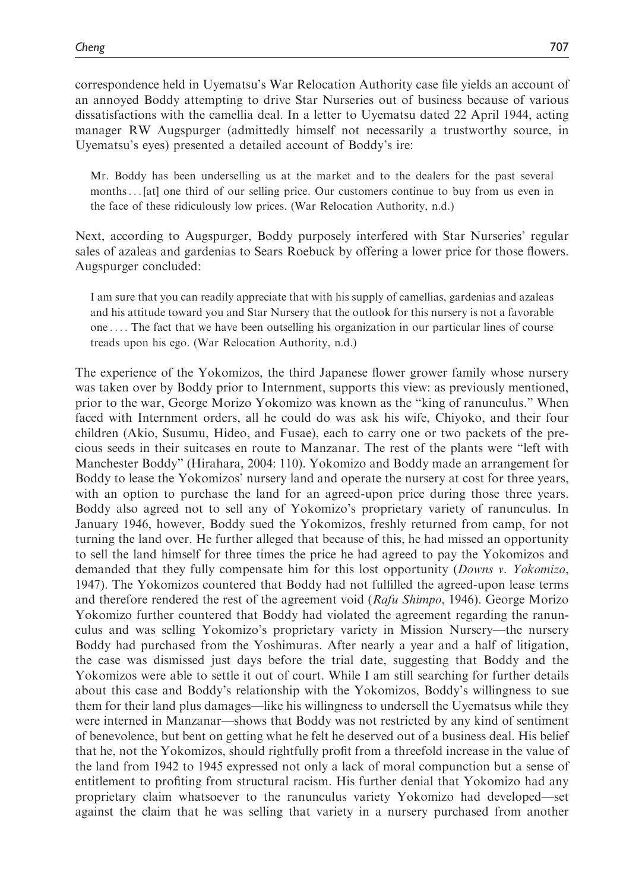correspondence held in Uyematsu's War Relocation Authority case file yields an account of an annoyed Boddy attempting to drive Star Nurseries out of business because of various dissatisfactions with the camellia deal. In a letter to Uyematsu dated 22 April 1944, acting manager RW Augspurger (admittedly himself not necessarily a trustworthy source, in Uyematsu's eyes) presented a detailed account of Boddy's ire:

Mr. Boddy has been underselling us at the market and to the dealers for the past several months... [at] one third of our selling price. Our customers continue to buy from us even in the face of these ridiculously low prices. (War Relocation Authority, n.d.)

Next, according to Augspurger, Boddy purposely interfered with Star Nurseries' regular sales of azaleas and gardenias to Sears Roebuck by offering a lower price for those flowers. Augspurger concluded:

I am sure that you can readily appreciate that with his supply of camellias, gardenias and azaleas and his attitude toward you and Star Nursery that the outlook for this nursery is not a favorable one ... . The fact that we have been outselling his organization in our particular lines of course treads upon his ego. (War Relocation Authority, n.d.)

The experience of the Yokomizos, the third Japanese flower grower family whose nursery was taken over by Boddy prior to Internment, supports this view: as previously mentioned, prior to the war, George Morizo Yokomizo was known as the "king of ranunculus." When faced with Internment orders, all he could do was ask his wife, Chiyoko, and their four children (Akio, Susumu, Hideo, and Fusae), each to carry one or two packets of the precious seeds in their suitcases en route to Manzanar. The rest of the plants were "left with Manchester Boddy" (Hirahara, 2004: 110). Yokomizo and Boddy made an arrangement for Boddy to lease the Yokomizos' nursery land and operate the nursery at cost for three years, with an option to purchase the land for an agreed-upon price during those three years. Boddy also agreed not to sell any of Yokomizo's proprietary variety of ranunculus. In January 1946, however, Boddy sued the Yokomizos, freshly returned from camp, for not turning the land over. He further alleged that because of this, he had missed an opportunity to sell the land himself for three times the price he had agreed to pay the Yokomizos and demanded that they fully compensate him for this lost opportunity (*Downs v. Yokomizo*, 1947). The Yokomizos countered that Boddy had not fulfilled the agreed-upon lease terms and therefore rendered the rest of the agreement void ( $Rafu Shimpo$ , 1946). George Morizo Yokomizo further countered that Boddy had violated the agreement regarding the ranunculus and was selling Yokomizo's proprietary variety in Mission Nursery—the nursery Boddy had purchased from the Yoshimuras. After nearly a year and a half of litigation, the case was dismissed just days before the trial date, suggesting that Boddy and the Yokomizos were able to settle it out of court. While I am still searching for further details about this case and Boddy's relationship with the Yokomizos, Boddy's willingness to sue them for their land plus damages—like his willingness to undersell the Uyematsus while they were interned in Manzanar—shows that Boddy was not restricted by any kind of sentiment of benevolence, but bent on getting what he felt he deserved out of a business deal. His belief that he, not the Yokomizos, should rightfully profit from a threefold increase in the value of the land from 1942 to 1945 expressed not only a lack of moral compunction but a sense of entitlement to profiting from structural racism. His further denial that Yokomizo had any proprietary claim whatsoever to the ranunculus variety Yokomizo had developed—set against the claim that he was selling that variety in a nursery purchased from another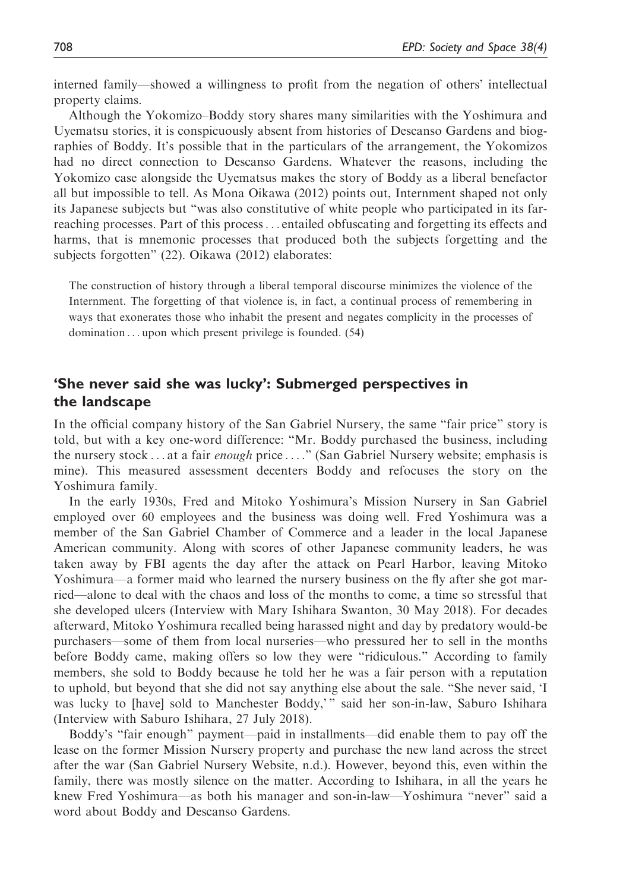interned family—showed a willingness to profit from the negation of others' intellectual property claims.

Although the Yokomizo–Boddy story shares many similarities with the Yoshimura and Uyematsu stories, it is conspicuously absent from histories of Descanso Gardens and biographies of Boddy. It's possible that in the particulars of the arrangement, the Yokomizos had no direct connection to Descanso Gardens. Whatever the reasons, including the Yokomizo case alongside the Uyematsus makes the story of Boddy as a liberal benefactor all but impossible to tell. As Mona Oikawa (2012) points out, Internment shaped not only its Japanese subjects but "was also constitutive of white people who participated in its farreaching processes. Part of this process... entailed obfuscating and forgetting its effects and harms, that is mnemonic processes that produced both the subjects forgetting and the subjects forgotten" (22). Oikawa (2012) elaborates:

The construction of history through a liberal temporal discourse minimizes the violence of the Internment. The forgetting of that violence is, in fact, a continual process of remembering in ways that exonerates those who inhabit the present and negates complicity in the processes of domination ... upon which present privilege is founded. (54)

# 'She never said she was lucky': Submerged perspectives in the landscape

In the official company history of the San Gabriel Nursery, the same "fair price" story is told, but with a key one-word difference: "Mr. Boddy purchased the business, including the nursery stock ... at a fair *enough* price ...." (San Gabriel Nursery website; emphasis is mine). This measured assessment decenters Boddy and refocuses the story on the Yoshimura family.

In the early 1930s, Fred and Mitoko Yoshimura's Mission Nursery in San Gabriel employed over 60 employees and the business was doing well. Fred Yoshimura was a member of the San Gabriel Chamber of Commerce and a leader in the local Japanese American community. Along with scores of other Japanese community leaders, he was taken away by FBI agents the day after the attack on Pearl Harbor, leaving Mitoko Yoshimura—a former maid who learned the nursery business on the fly after she got married—alone to deal with the chaos and loss of the months to come, a time so stressful that she developed ulcers (Interview with Mary Ishihara Swanton, 30 May 2018). For decades afterward, Mitoko Yoshimura recalled being harassed night and day by predatory would-be purchasers—some of them from local nurseries—who pressured her to sell in the months before Boddy came, making offers so low they were "ridiculous." According to family members, she sold to Boddy because he told her he was a fair person with a reputation to uphold, but beyond that she did not say anything else about the sale. "She never said, 'I was lucky to [have] sold to Manchester Boddy,' " said her son-in-law, Saburo Ishihara (Interview with Saburo Ishihara, 27 July 2018).

Boddy's "fair enough" payment—paid in installments—did enable them to pay off the lease on the former Mission Nursery property and purchase the new land across the street after the war (San Gabriel Nursery Website, n.d.). However, beyond this, even within the family, there was mostly silence on the matter. According to Ishihara, in all the years he knew Fred Yoshimura—as both his manager and son-in-law—Yoshimura "never" said a word about Boddy and Descanso Gardens.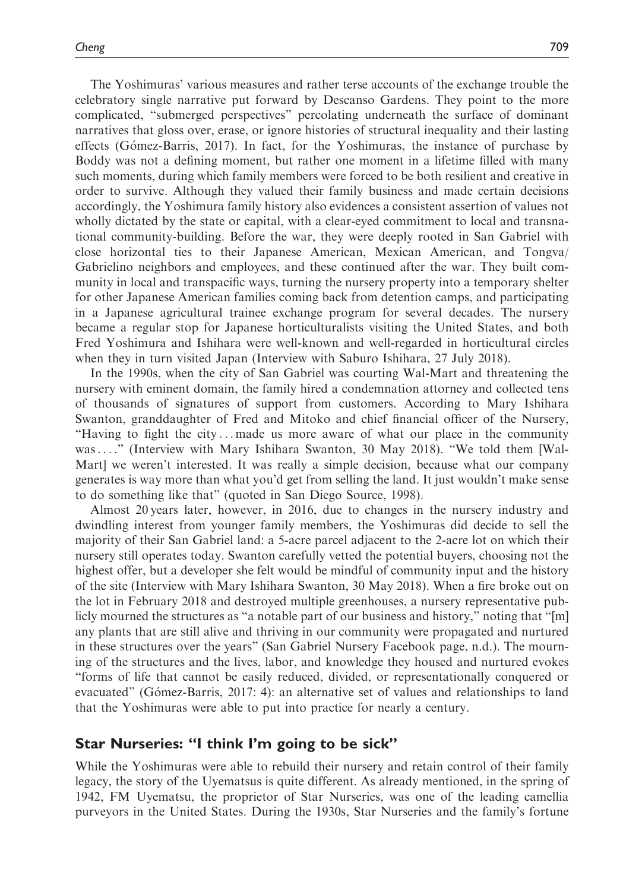The Yoshimuras' various measures and rather terse accounts of the exchange trouble the celebratory single narrative put forward by Descanso Gardens. They point to the more complicated, "submerged perspectives" percolating underneath the surface of dominant narratives that gloss over, erase, or ignore histories of structural inequality and their lasting effects (Gómez-Barris, 2017). In fact, for the Yoshimuras, the instance of purchase by Boddy was not a defining moment, but rather one moment in a lifetime filled with many such moments, during which family members were forced to be both resilient and creative in order to survive. Although they valued their family business and made certain decisions accordingly, the Yoshimura family history also evidences a consistent assertion of values not wholly dictated by the state or capital, with a clear-eyed commitment to local and transnational community-building. Before the war, they were deeply rooted in San Gabriel with close horizontal ties to their Japanese American, Mexican American, and Tongva/ Gabrielino neighbors and employees, and these continued after the war. They built community in local and transpacific ways, turning the nursery property into a temporary shelter for other Japanese American families coming back from detention camps, and participating in a Japanese agricultural trainee exchange program for several decades. The nursery became a regular stop for Japanese horticulturalists visiting the United States, and both Fred Yoshimura and Ishihara were well-known and well-regarded in horticultural circles when they in turn visited Japan (Interview with Saburo Ishihara, 27 July 2018).

In the 1990s, when the city of San Gabriel was courting Wal-Mart and threatening the nursery with eminent domain, the family hired a condemnation attorney and collected tens of thousands of signatures of support from customers. According to Mary Ishihara Swanton, granddaughter of Fred and Mitoko and chief financial officer of the Nursery, "Having to fight the city ... made us more aware of what our place in the community was... ." (Interview with Mary Ishihara Swanton, 30 May 2018). "We told them [Wal-Mart] we weren't interested. It was really a simple decision, because what our company generates is way more than what you'd get from selling the land. It just wouldn't make sense to do something like that" (quoted in San Diego Source, 1998).

Almost 20 years later, however, in 2016, due to changes in the nursery industry and dwindling interest from younger family members, the Yoshimuras did decide to sell the majority of their San Gabriel land: a 5-acre parcel adjacent to the 2-acre lot on which their nursery still operates today. Swanton carefully vetted the potential buyers, choosing not the highest offer, but a developer she felt would be mindful of community input and the history of the site (Interview with Mary Ishihara Swanton, 30 May 2018). When a fire broke out on the lot in February 2018 and destroyed multiple greenhouses, a nursery representative publicly mourned the structures as "a notable part of our business and history," noting that "[m] any plants that are still alive and thriving in our community were propagated and nurtured in these structures over the years" (San Gabriel Nursery Facebook page, n.d.). The mourning of the structures and the lives, labor, and knowledge they housed and nurtured evokes "forms of life that cannot be easily reduced, divided, or representationally conquered or evacuated" (Gómez-Barris, 2017: 4): an alternative set of values and relationships to land that the Yoshimuras were able to put into practice for nearly a century.

## Star Nurseries: "I think I'm going to be sick"

While the Yoshimuras were able to rebuild their nursery and retain control of their family legacy, the story of the Uyematsus is quite different. As already mentioned, in the spring of 1942, FM Uyematsu, the proprietor of Star Nurseries, was one of the leading camellia purveyors in the United States. During the 1930s, Star Nurseries and the family's fortune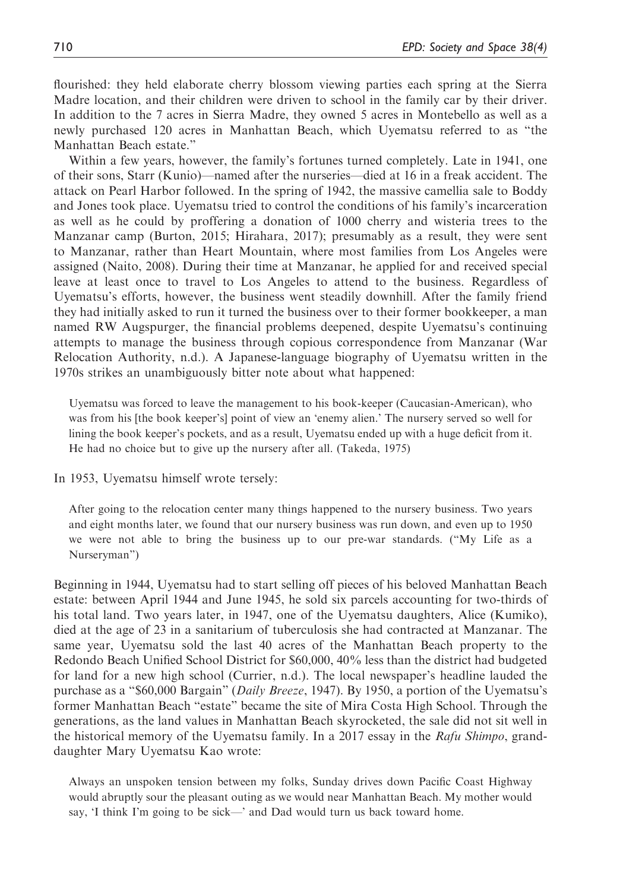flourished: they held elaborate cherry blossom viewing parties each spring at the Sierra Madre location, and their children were driven to school in the family car by their driver. In addition to the 7 acres in Sierra Madre, they owned 5 acres in Montebello as well as a newly purchased 120 acres in Manhattan Beach, which Uyematsu referred to as "the Manhattan Beach estate."

Within a few years, however, the family's fortunes turned completely. Late in 1941, one of their sons, Starr (Kunio)—named after the nurseries—died at 16 in a freak accident. The attack on Pearl Harbor followed. In the spring of 1942, the massive camellia sale to Boddy and Jones took place. Uyematsu tried to control the conditions of his family's incarceration as well as he could by proffering a donation of 1000 cherry and wisteria trees to the Manzanar camp (Burton, 2015; Hirahara, 2017); presumably as a result, they were sent to Manzanar, rather than Heart Mountain, where most families from Los Angeles were assigned (Naito, 2008). During their time at Manzanar, he applied for and received special leave at least once to travel to Los Angeles to attend to the business. Regardless of Uyematsu's efforts, however, the business went steadily downhill. After the family friend they had initially asked to run it turned the business over to their former bookkeeper, a man named RW Augspurger, the financial problems deepened, despite Uyematsu's continuing attempts to manage the business through copious correspondence from Manzanar (War Relocation Authority, n.d.). A Japanese-language biography of Uyematsu written in the 1970s strikes an unambiguously bitter note about what happened:

Uyematsu was forced to leave the management to his book-keeper (Caucasian-American), who was from his [the book keeper's] point of view an 'enemy alien.' The nursery served so well for lining the book keeper's pockets, and as a result, Uyematsu ended up with a huge deficit from it. He had no choice but to give up the nursery after all. (Takeda, 1975)

In 1953, Uyematsu himself wrote tersely:

After going to the relocation center many things happened to the nursery business. Two years and eight months later, we found that our nursery business was run down, and even up to 1950 we were not able to bring the business up to our pre-war standards. ("My Life as a Nurseryman")

Beginning in 1944, Uyematsu had to start selling off pieces of his beloved Manhattan Beach estate: between April 1944 and June 1945, he sold six parcels accounting for two-thirds of his total land. Two years later, in 1947, one of the Uyematsu daughters, Alice (Kumiko), died at the age of 23 in a sanitarium of tuberculosis she had contracted at Manzanar. The same year, Uyematsu sold the last 40 acres of the Manhattan Beach property to the Redondo Beach Unified School District for \$60,000, 40% less than the district had budgeted for land for a new high school (Currier, n.d.). The local newspaper's headline lauded the purchase as a "\$60,000 Bargain" (Daily Breeze, 1947). By 1950, a portion of the Uyematsu's former Manhattan Beach "estate" became the site of Mira Costa High School. Through the generations, as the land values in Manhattan Beach skyrocketed, the sale did not sit well in the historical memory of the Uyematsu family. In a 2017 essay in the  $Rafu Shimpo$ , granddaughter Mary Uyematsu Kao wrote:

Always an unspoken tension between my folks, Sunday drives down Pacific Coast Highway would abruptly sour the pleasant outing as we would near Manhattan Beach. My mother would say, 'I think I'm going to be sick—' and Dad would turn us back toward home.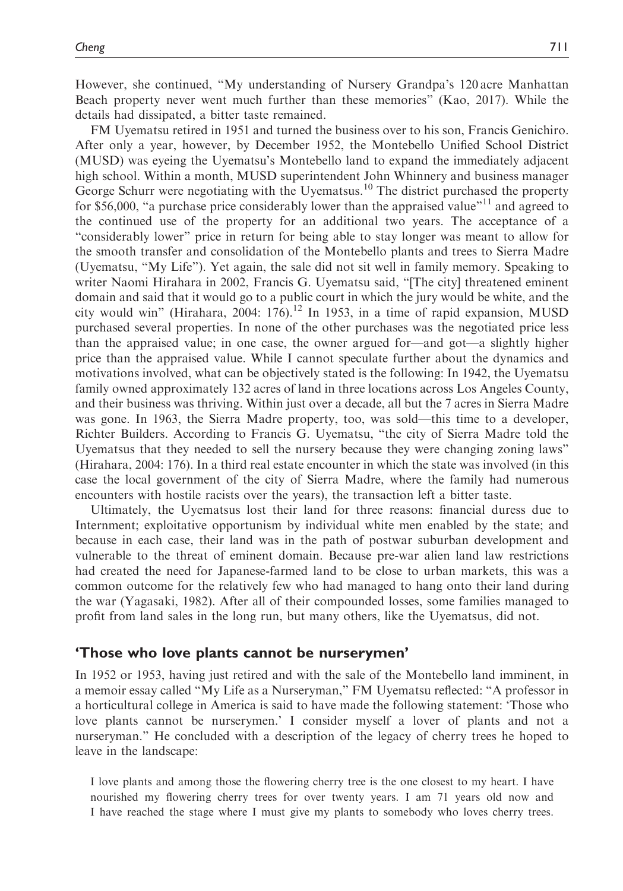However, she continued, "My understanding of Nursery Grandpa's 120 acre Manhattan Beach property never went much further than these memories" (Kao, 2017). While the details had dissipated, a bitter taste remained.

FM Uyematsu retired in 1951 and turned the business over to his son, Francis Genichiro. After only a year, however, by December 1952, the Montebello Unified School District (MUSD) was eyeing the Uyematsu's Montebello land to expand the immediately adjacent high school. Within a month, MUSD superintendent John Whinnery and business manager George Schurr were negotiating with the Uyematsus.<sup>10</sup> The district purchased the property for \$56,000, "a purchase price considerably lower than the appraised value"<sup>11</sup> and agreed to the continued use of the property for an additional two years. The acceptance of a "considerably lower" price in return for being able to stay longer was meant to allow for the smooth transfer and consolidation of the Montebello plants and trees to Sierra Madre (Uyematsu, "My Life"). Yet again, the sale did not sit well in family memory. Speaking to writer Naomi Hirahara in 2002, Francis G. Uyematsu said, "[The city] threatened eminent domain and said that it would go to a public court in which the jury would be white, and the city would win" (Hirahara, 2004: 176).<sup>12</sup> In 1953, in a time of rapid expansion, MUSD purchased several properties. In none of the other purchases was the negotiated price less than the appraised value; in one case, the owner argued for—and got—a slightly higher price than the appraised value. While I cannot speculate further about the dynamics and motivations involved, what can be objectively stated is the following: In 1942, the Uyematsu family owned approximately 132 acres of land in three locations across Los Angeles County, and their business was thriving. Within just over a decade, all but the 7 acres in Sierra Madre was gone. In 1963, the Sierra Madre property, too, was sold—this time to a developer, Richter Builders. According to Francis G. Uyematsu, "the city of Sierra Madre told the Uyematsus that they needed to sell the nursery because they were changing zoning laws" (Hirahara, 2004: 176). In a third real estate encounter in which the state was involved (in this case the local government of the city of Sierra Madre, where the family had numerous encounters with hostile racists over the years), the transaction left a bitter taste.

Ultimately, the Uyematsus lost their land for three reasons: financial duress due to Internment; exploitative opportunism by individual white men enabled by the state; and because in each case, their land was in the path of postwar suburban development and vulnerable to the threat of eminent domain. Because pre-war alien land law restrictions had created the need for Japanese-farmed land to be close to urban markets, this was a common outcome for the relatively few who had managed to hang onto their land during the war (Yagasaki, 1982). After all of their compounded losses, some families managed to profit from land sales in the long run, but many others, like the Uyematsus, did not.

#### 'Those who love plants cannot be nurserymen'

In 1952 or 1953, having just retired and with the sale of the Montebello land imminent, in a memoir essay called "My Life as a Nurseryman," FM Uyematsu reflected: "A professor in a horticultural college in America is said to have made the following statement: 'Those who love plants cannot be nurserymen.' I consider myself a lover of plants and not a nurseryman." He concluded with a description of the legacy of cherry trees he hoped to leave in the landscape:

I love plants and among those the flowering cherry tree is the one closest to my heart. I have nourished my flowering cherry trees for over twenty years. I am 71 years old now and I have reached the stage where I must give my plants to somebody who loves cherry trees.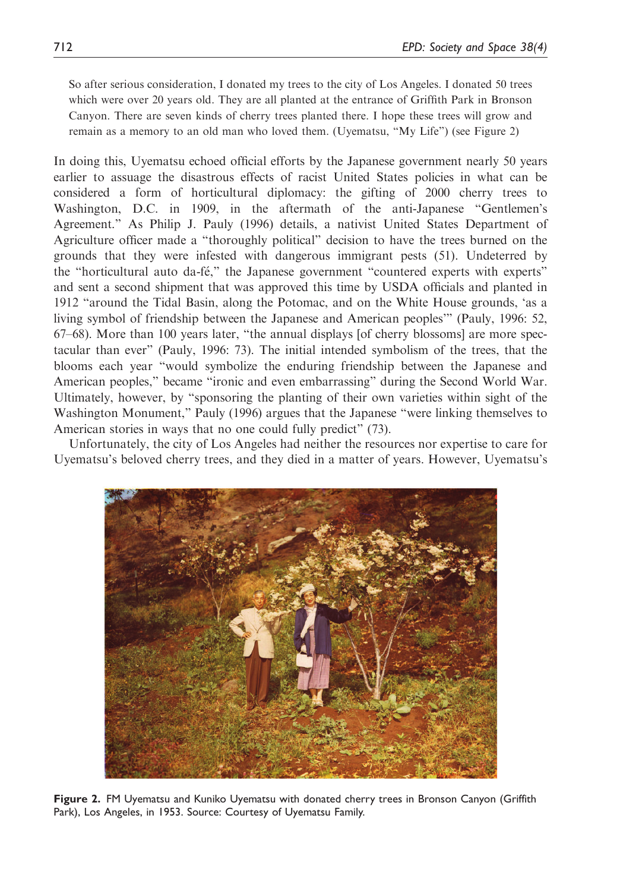So after serious consideration, I donated my trees to the city of Los Angeles. I donated 50 trees which were over 20 years old. They are all planted at the entrance of Griffith Park in Bronson Canyon. There are seven kinds of cherry trees planted there. I hope these trees will grow and remain as a memory to an old man who loved them. (Uyematsu, "My Life") (see Figure 2)

In doing this, Uyematsu echoed official efforts by the Japanese government nearly 50 years earlier to assuage the disastrous effects of racist United States policies in what can be considered a form of horticultural diplomacy: the gifting of 2000 cherry trees to Washington, D.C. in 1909, in the aftermath of the anti-Japanese "Gentlemen's Agreement." As Philip J. Pauly (1996) details, a nativist United States Department of Agriculture officer made a "thoroughly political" decision to have the trees burned on the grounds that they were infested with dangerous immigrant pests (51). Undeterred by the "horticultural auto da-fé," the Japanese government "countered experts with experts" and sent a second shipment that was approved this time by USDA officials and planted in 1912 "around the Tidal Basin, along the Potomac, and on the White House grounds, 'as a living symbol of friendship between the Japanese and American peoples'" (Pauly, 1996: 52, 67–68). More than 100 years later, "the annual displays [of cherry blossoms] are more spectacular than ever" (Pauly, 1996: 73). The initial intended symbolism of the trees, that the blooms each year "would symbolize the enduring friendship between the Japanese and American peoples," became "ironic and even embarrassing" during the Second World War. Ultimately, however, by "sponsoring the planting of their own varieties within sight of the Washington Monument," Pauly (1996) argues that the Japanese "were linking themselves to American stories in ways that no one could fully predict" (73).

Unfortunately, the city of Los Angeles had neither the resources nor expertise to care for Uyematsu's beloved cherry trees, and they died in a matter of years. However, Uyematsu's



Figure 2. FM Uyematsu and Kuniko Uyematsu with donated cherry trees in Bronson Canyon (Griffith Park), Los Angeles, in 1953. Source: Courtesy of Uyematsu Family.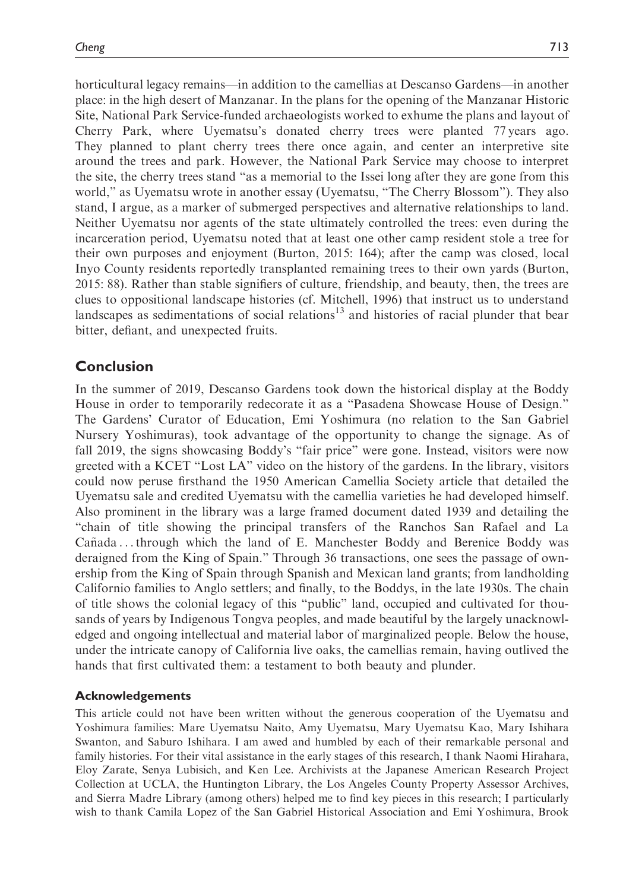horticultural legacy remains—in addition to the camellias at Descanso Gardens—in another place: in the high desert of Manzanar. In the plans for the opening of the Manzanar Historic Site, National Park Service-funded archaeologists worked to exhume the plans and layout of Cherry Park, where Uyematsu's donated cherry trees were planted 77 years ago. They planned to plant cherry trees there once again, and center an interpretive site around the trees and park. However, the National Park Service may choose to interpret the site, the cherry trees stand "as a memorial to the Issei long after they are gone from this world," as Uyematsu wrote in another essay (Uyematsu, "The Cherry Blossom"). They also stand, I argue, as a marker of submerged perspectives and alternative relationships to land. Neither Uyematsu nor agents of the state ultimately controlled the trees: even during the incarceration period, Uyematsu noted that at least one other camp resident stole a tree for their own purposes and enjoyment (Burton, 2015: 164); after the camp was closed, local Inyo County residents reportedly transplanted remaining trees to their own yards (Burton, 2015: 88). Rather than stable signifiers of culture, friendship, and beauty, then, the trees are clues to oppositional landscape histories (cf. Mitchell, 1996) that instruct us to understand landscapes as sedimentations of social relations<sup>13</sup> and histories of racial plunder that bear bitter, defiant, and unexpected fruits.

# Conclusion

In the summer of 2019, Descanso Gardens took down the historical display at the Boddy House in order to temporarily redecorate it as a "Pasadena Showcase House of Design." The Gardens' Curator of Education, Emi Yoshimura (no relation to the San Gabriel Nursery Yoshimuras), took advantage of the opportunity to change the signage. As of fall 2019, the signs showcasing Boddy's "fair price" were gone. Instead, visitors were now greeted with a KCET "Lost LA" video on the history of the gardens. In the library, visitors could now peruse firsthand the 1950 American Camellia Society article that detailed the Uyematsu sale and credited Uyematsu with the camellia varieties he had developed himself. Also prominent in the library was a large framed document dated 1939 and detailing the "chain of title showing the principal transfers of the Ranchos San Rafael and La  $Ca\tilde{n}$  and  $\tilde{n}$  ... through which the land of E. Manchester Boddy and Berenice Boddy was deraigned from the King of Spain." Through 36 transactions, one sees the passage of ownership from the King of Spain through Spanish and Mexican land grants; from landholding Californio families to Anglo settlers; and finally, to the Boddys, in the late 1930s. The chain of title shows the colonial legacy of this "public" land, occupied and cultivated for thousands of years by Indigenous Tongva peoples, and made beautiful by the largely unacknowledged and ongoing intellectual and material labor of marginalized people. Below the house, under the intricate canopy of California live oaks, the camellias remain, having outlived the hands that first cultivated them: a testament to both beauty and plunder.

## Acknowledgements

This article could not have been written without the generous cooperation of the Uyematsu and Yoshimura families: Mare Uyematsu Naito, Amy Uyematsu, Mary Uyematsu Kao, Mary Ishihara Swanton, and Saburo Ishihara. I am awed and humbled by each of their remarkable personal and family histories. For their vital assistance in the early stages of this research, I thank Naomi Hirahara, Eloy Zarate, Senya Lubisich, and Ken Lee. Archivists at the Japanese American Research Project Collection at UCLA, the Huntington Library, the Los Angeles County Property Assessor Archives, and Sierra Madre Library (among others) helped me to find key pieces in this research; I particularly wish to thank Camila Lopez of the San Gabriel Historical Association and Emi Yoshimura, Brook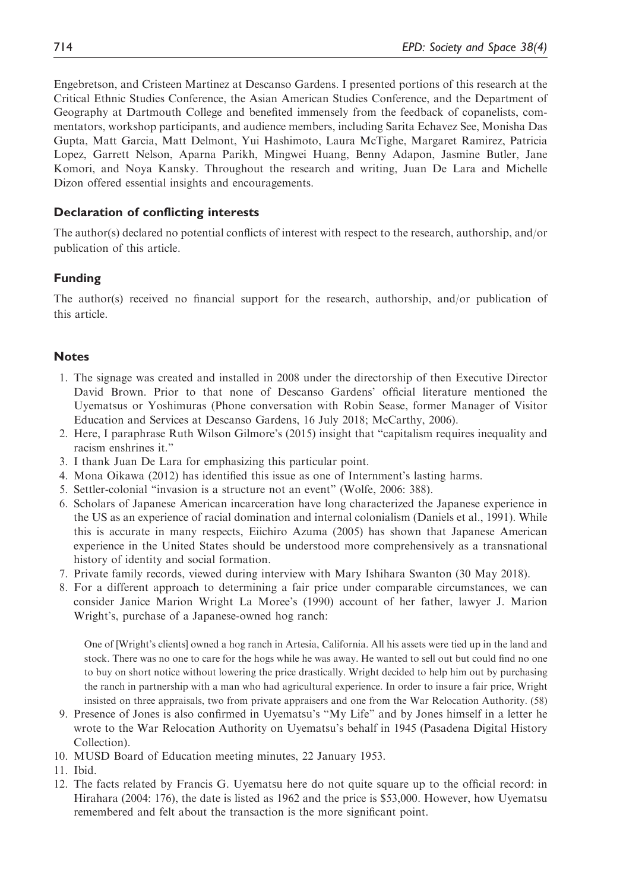Engebretson, and Cristeen Martinez at Descanso Gardens. I presented portions of this research at the Critical Ethnic Studies Conference, the Asian American Studies Conference, and the Department of Geography at Dartmouth College and benefited immensely from the feedback of copanelists, commentators, workshop participants, and audience members, including Sarita Echavez See, Monisha Das Gupta, Matt Garcia, Matt Delmont, Yui Hashimoto, Laura McTighe, Margaret Ramirez, Patricia Lopez, Garrett Nelson, Aparna Parikh, Mingwei Huang, Benny Adapon, Jasmine Butler, Jane Komori, and Noya Kansky. Throughout the research and writing, Juan De Lara and Michelle Dizon offered essential insights and encouragements.

### Declaration of conflicting interests

The author(s) declared no potential conflicts of interest with respect to the research, authorship, and/or publication of this article.

#### Funding

The author(s) received no financial support for the research, authorship, and/or publication of this article.

#### **Notes**

- 1. The signage was created and installed in 2008 under the directorship of then Executive Director David Brown. Prior to that none of Descanso Gardens' official literature mentioned the Uyematsus or Yoshimuras (Phone conversation with Robin Sease, former Manager of Visitor Education and Services at Descanso Gardens, 16 July 2018; McCarthy, 2006).
- 2. Here, I paraphrase Ruth Wilson Gilmore's (2015) insight that "capitalism requires inequality and racism enshrines it."
- 3. I thank Juan De Lara for emphasizing this particular point.
- 4. Mona Oikawa (2012) has identified this issue as one of Internment's lasting harms.
- 5. Settler-colonial "invasion is a structure not an event" (Wolfe, 2006: 388).
- 6. Scholars of Japanese American incarceration have long characterized the Japanese experience in the US as an experience of racial domination and internal colonialism (Daniels et al., 1991). While this is accurate in many respects, Eiichiro Azuma (2005) has shown that Japanese American experience in the United States should be understood more comprehensively as a transnational history of identity and social formation.
- 7. Private family records, viewed during interview with Mary Ishihara Swanton (30 May 2018).
- 8. For a different approach to determining a fair price under comparable circumstances, we can consider Janice Marion Wright La Moree's (1990) account of her father, lawyer J. Marion Wright's, purchase of a Japanese-owned hog ranch:

One of [Wright's clients] owned a hog ranch in Artesia, California. All his assets were tied up in the land and stock. There was no one to care for the hogs while he was away. He wanted to sell out but could find no one to buy on short notice without lowering the price drastically. Wright decided to help him out by purchasing the ranch in partnership with a man who had agricultural experience. In order to insure a fair price, Wright insisted on three appraisals, two from private appraisers and one from the War Relocation Authority. (58)

- 9. Presence of Jones is also confirmed in Uyematsu's "My Life" and by Jones himself in a letter he wrote to the War Relocation Authority on Uyematsu's behalf in 1945 (Pasadena Digital History Collection).
- 10. MUSD Board of Education meeting minutes, 22 January 1953.
- 11. Ibid.
- 12. The facts related by Francis G. Uyematsu here do not quite square up to the official record: in Hirahara (2004: 176), the date is listed as 1962 and the price is \$53,000. However, how Uyematsu remembered and felt about the transaction is the more significant point.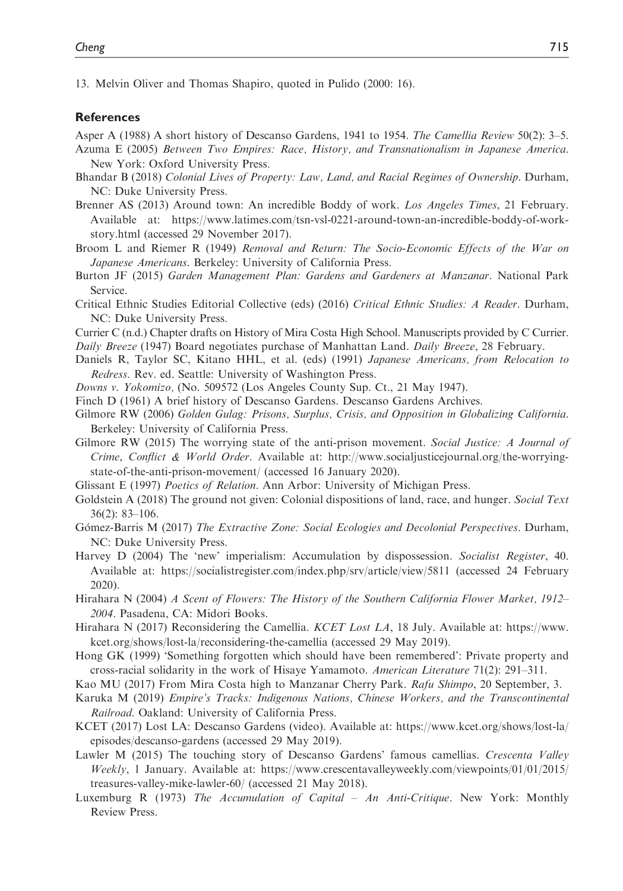13. Melvin Oliver and Thomas Shapiro, quoted in Pulido (2000: 16).

#### **References**

Asper A (1988) A short history of Descanso Gardens, 1941 to 1954. The Camellia Review 50(2): 3–5.

- Azuma E (2005) Between Two Empires: Race, History, and Transnationalism in Japanese America. New York: Oxford University Press.
- Bhandar B (2018) Colonial Lives of Property: Law, Land, and Racial Regimes of Ownership. Durham, NC: Duke University Press.
- Brenner AS (2013) Around town: An incredible Boddy of work. Los Angeles Times, 21 February. Available at: [https://www.latimes.com/tsn-vsl-0221-around-town-an-incredible-boddy-of-work](https://www.latimes.com/tsn-vsl-0221-around-town-an-incredible-boddy-of-work-story.html)[story.html](https://www.latimes.com/tsn-vsl-0221-around-town-an-incredible-boddy-of-work-story.html) (accessed 29 November 2017).
- Broom L and Riemer R (1949) Removal and Return: The Socio-Economic Effects of the War on Japanese Americans. Berkeley: University of California Press.
- Burton JF (2015) Garden Management Plan: Gardens and Gardeners at Manzanar. National Park Service.
- Critical Ethnic Studies Editorial Collective (eds) (2016) Critical Ethnic Studies: A Reader. Durham, NC: Duke University Press.
- Currier C (n.d.) Chapter drafts on History of Mira Costa High School. Manuscripts provided by C Currier.

Daily Breeze (1947) Board negotiates purchase of Manhattan Land. Daily Breeze, 28 February.

- Daniels R, Taylor SC, Kitano HHL, et al. (eds) (1991) Japanese Americans, from Relocation to Redress. Rev. ed. Seattle: University of Washington Press.
- Downs v. Yokomizo, (No. 509572 (Los Angeles County Sup. Ct., 21 May 1947).
- Finch D (1961) A brief history of Descanso Gardens. Descanso Gardens Archives.
- Gilmore RW (2006) Golden Gulag: Prisons, Surplus, Crisis, and Opposition in Globalizing California. Berkeley: University of California Press.
- Gilmore RW (2015) The worrying state of the anti-prison movement. Social Justice: A Journal of Crime, Conflict & World Order. Available at: [http://www.socialjusticejournal.org/the-worrying](http://www.socialjusticejournal.org/the-worrying-state-of-the-anti-prison-movement/)[state-of-the-anti-prison-movement/](http://www.socialjusticejournal.org/the-worrying-state-of-the-anti-prison-movement/) (accessed 16 January 2020).
- Glissant E (1997) Poetics of Relation. Ann Arbor: University of Michigan Press.
- Goldstein A (2018) The ground not given: Colonial dispositions of land, race, and hunger. Social Text 36(2): 83–106.
- Gómez-Barris M (2017) The Extractive Zone: Social Ecologies and Decolonial Perspectives. Durham, NC: Duke University Press.
- Harvey D (2004) The 'new' imperialism: Accumulation by dispossession. Socialist Register, 40. Available at:<https://socialistregister.com/index.php/srv/article/view/5811> (accessed 24 February 2020).
- Hirahara N (2004) A Scent of Flowers: The History of the Southern California Flower Market, 1912– 2004. Pasadena, CA: Midori Books.
- Hirahara N (2017) Reconsidering the Camellia. KCET Lost LA, 18 July. Available at: [https://www.](https://www.kcet.org/shows/lost-la/reconsidering-the-camellia) [kcet.org/shows/lost-la/reconsidering-the-camellia](https://www.kcet.org/shows/lost-la/reconsidering-the-camellia) (accessed 29 May 2019).
- Hong GK (1999) 'Something forgotten which should have been remembered': Private property and cross-racial solidarity in the work of Hisaye Yamamoto. American Literature 71(2): 291–311.
- Kao MU (2017) From Mira Costa high to Manzanar Cherry Park. Rafu Shimpo, 20 September, 3.
- Karuka M (2019) Empire's Tracks: Indigenous Nations, Chinese Workers, and the Transcontinental Railroad. Oakland: University of California Press.
- KCET (2017) Lost LA: Descanso Gardens (video). Available at: [https://www.kcet.org/shows/lost-la/](https://www.kcet.org/shows/lost-la/episodes/descanso-gardens) [episodes/descanso-gardens](https://www.kcet.org/shows/lost-la/episodes/descanso-gardens) (accessed 29 May 2019).
- Lawler M (2015) The touching story of Descanso Gardens' famous camellias. Crescenta Valley Weekly, 1 January. Available at: [https://www.crescentavalleyweekly.com/viewpoints/01/01/2015/](https://www.crescentavalleyweekly.com/viewpoints/01/01/2015/treasures-valley-mike-lawler-60/) [treasures-valley-mike-lawler-60/](https://www.crescentavalleyweekly.com/viewpoints/01/01/2015/treasures-valley-mike-lawler-60/) (accessed 21 May 2018).
- Luxemburg R (1973) The Accumulation of Capital An Anti-Critique. New York: Monthly Review Press.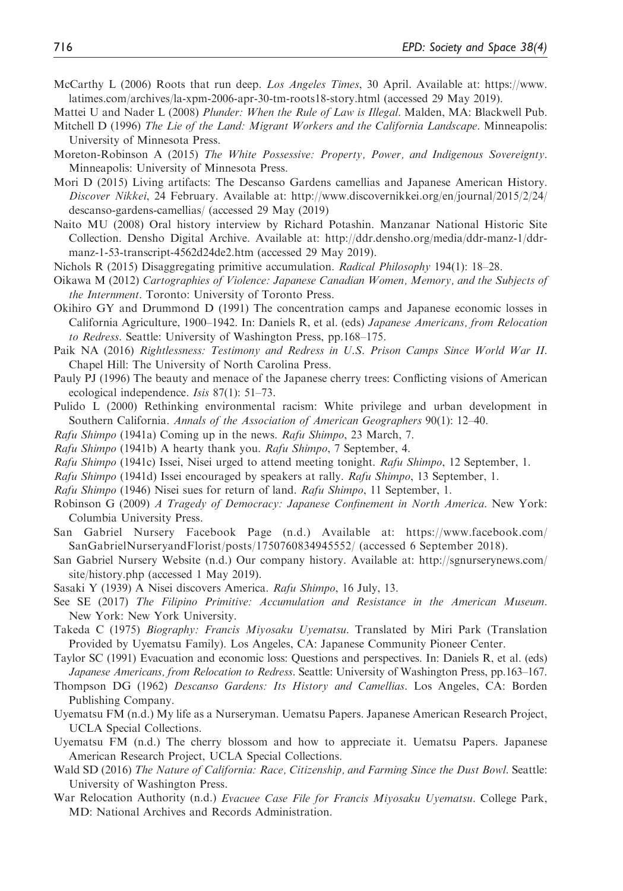- McCarthy L (2006) Roots that run deep. Los Angeles Times, 30 April. Available at: [https://www.](https://www.latimes.com/archives/la-xpm-2006-apr-30-tm-roots18-story.html) [latimes.com/archives/la-xpm-2006-apr-30-tm-roots18-story.html](https://www.latimes.com/archives/la-xpm-2006-apr-30-tm-roots18-story.html) (accessed 29 May 2019).
- Mattei U and Nader L (2008) Plunder: When the Rule of Law is Illegal. Malden, MA: Blackwell Pub.
- Mitchell D (1996) The Lie of the Land: Migrant Workers and the California Landscape. Minneapolis: University of Minnesota Press.
- Moreton-Robinson A (2015) The White Possessive: Property, Power, and Indigenous Sovereignty. Minneapolis: University of Minnesota Press.
- Mori D (2015) Living artifacts: The Descanso Gardens camellias and Japanese American History. Discover Nikkei, 24 February. Available at: [http://www.discovernikkei.org/en/journal/2015/2/24/](http://www.discovernikkei.org/en/journal/2015/2/24/descanso-gardens-camellias/) [descanso-gardens-camellias/](http://www.discovernikkei.org/en/journal/2015/2/24/descanso-gardens-camellias/) (accessed 29 May (2019)
- Naito MU (2008) Oral history interview by Richard Potashin. Manzanar National Historic Site Collection. Densho Digital Archive. Available at: [http://ddr.densho.org/media/ddr-manz-1/ddr](http://ddr.densho.org/media/ddr-manz-1/ddr-manz-1-53-transcript-4562d24de2.htm)[manz-1-53-transcript-4562d24de2.htm](http://ddr.densho.org/media/ddr-manz-1/ddr-manz-1-53-transcript-4562d24de2.htm) (accessed 29 May 2019).
- Nichols R (2015) Disaggregating primitive accumulation. *Radical Philosophy* 194(1): 18–28.
- Oikawa M (2012) Cartographies of Violence: Japanese Canadian Women, Memory, and the Subjects of the Internment. Toronto: University of Toronto Press.
- Okihiro GY and Drummond D (1991) The concentration camps and Japanese economic losses in California Agriculture, 1900–1942. In: Daniels R, et al. (eds) Japanese Americans, from Relocation to Redress. Seattle: University of Washington Press, pp.168–175.
- Paik NA (2016) Rightlessness: Testimony and Redress in U.S. Prison Camps Since World War II. Chapel Hill: The University of North Carolina Press.
- Pauly PJ (1996) The beauty and menace of the Japanese cherry trees: Conflicting visions of American ecological independence. Isis 87(1): 51–73.
- Pulido L (2000) Rethinking environmental racism: White privilege and urban development in Southern California. Annals of the Association of American Geographers 90(1): 12–40.
- Rafu Shimpo (1941a) Coming up in the news. Rafu Shimpo, 23 March, 7.
- Rafu Shimpo (1941b) A hearty thank you. Rafu Shimpo, 7 September, 4.
- Rafu Shimpo (1941c) Issei, Nisei urged to attend meeting tonight. Rafu Shimpo, 12 September, 1.
- Rafu Shimpo (1941d) Issei encouraged by speakers at rally. Rafu Shimpo, 13 September, 1.
- Rafu Shimpo (1946) Nisei sues for return of land. Rafu Shimpo, 11 September, 1.
- Robinson G (2009) A Tragedy of Democracy: Japanese Confinement in North America. New York: Columbia University Press.
- San Gabriel Nursery Facebook Page (n.d.) Available at: [https://www.facebook.com/](https://www.facebook.com/SanGabrielNurseryandFlorist/posts/1750760834945552/) [SanGabrielNurseryandFlorist/posts/1750760834945552/](https://www.facebook.com/SanGabrielNurseryandFlorist/posts/1750760834945552/) (accessed 6 September 2018).
- San Gabriel Nursery Website (n.d.) Our company history. Available at: [http://sgnurserynews.com/](http://sgnurserynews.com/site/history.php) [site/history.php](http://sgnurserynews.com/site/history.php) (accessed 1 May 2019).
- Sasaki Y (1939) A Nisei discovers America. Rafu Shimpo, 16 July, 13.
- See SE (2017) The Filipino Primitive: Accumulation and Resistance in the American Museum. New York: New York University.
- Takeda C (1975) Biography: Francis Miyosaku Uyematsu. Translated by Miri Park (Translation Provided by Uyematsu Family). Los Angeles, CA: Japanese Community Pioneer Center.
- Taylor SC (1991) Evacuation and economic loss: Questions and perspectives. In: Daniels R, et al. (eds) Japanese Americans, from Relocation to Redress. Seattle: University of Washington Press, pp.163–167.
- Thompson DG (1962) Descanso Gardens: Its History and Camellias. Los Angeles, CA: Borden Publishing Company.
- Uyematsu FM (n.d.) My life as a Nurseryman. Uematsu Papers. Japanese American Research Project, UCLA Special Collections.
- Uyematsu FM (n.d.) The cherry blossom and how to appreciate it. Uematsu Papers. Japanese American Research Project, UCLA Special Collections.
- Wald SD (2016) The Nature of California: Race, Citizenship, and Farming Since the Dust Bowl. Seattle: University of Washington Press.
- War Relocation Authority (n.d.) Evacuee Case File for Francis Miyosaku Uyematsu. College Park, MD: National Archives and Records Administration.